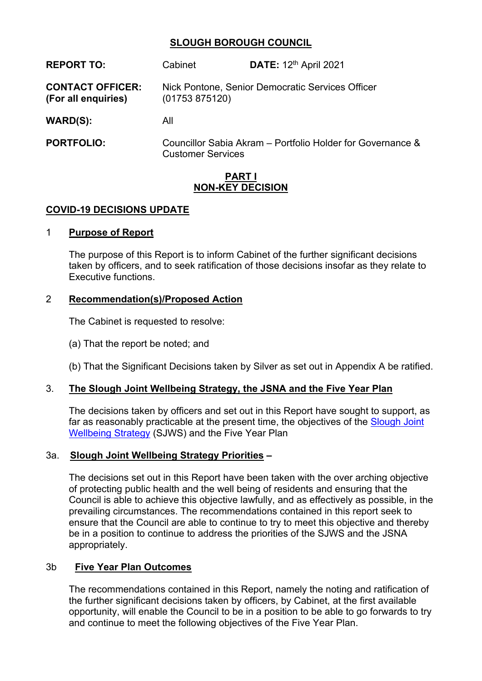# **SLOUGH BOROUGH COUNCIL**

| <b>REPORT TO:</b>                              | Cabinet                                                            | DATE: 12 <sup>th</sup> April 2021                          |  |  |
|------------------------------------------------|--------------------------------------------------------------------|------------------------------------------------------------|--|--|
| <b>CONTACT OFFICER:</b><br>(For all enquiries) | Nick Pontone, Senior Democratic Services Officer<br>(01753 875120) |                                                            |  |  |
| WARD(S):                                       | All                                                                |                                                            |  |  |
| <b>PORTFOLIO:</b>                              |                                                                    | Councillor Sabia Akram - Portfolio Holder for Governance & |  |  |

Customer Services

### **PART I NON-KEY DECISION**

### **COVID-19 DECISIONS UPDATE**

#### 1 **Purpose of Report**

The purpose of this Report is to inform Cabinet of the further significant decisions taken by officers, and to seek ratification of those decisions insofar as they relate to Executive functions.

### 2 **Recommendation(s)/Proposed Action**

The Cabinet is requested to resolve:

- (a) That the report be noted; and
- (b) That the Significant Decisions taken by Silver as set out in Appendix A be ratified.

# 3. **The Slough Joint Wellbeing Strategy, the JSNA and the Five Year Plan**

The decisions taken by officers and set out in this Report have sought to support, as far as reasonably practicable at the present time, the objectives of the [Slough](http://www.slough.gov.uk/downloads/SJWS-2016.pdf) Joint [Wellbei](http://www.slough.gov.uk/downloads/SJWS-2016.pdf)ng [Strategy](http://www.slough.gov.uk/downloads/SJWS-2016.pdf) (SJWS) and the Five Year Plan

### 3a. **Slough Joint Wellbeing Strategy Priorities –**

The decisions set out in this Report have been taken with the over arching objective of protecting public health and the well being of residents and ensuring that the Council is able to achieve this objective lawfully, and as effectively as possible, in the prevailing circumstances. The recommendations contained in this report seek to ensure that the Council are able to continue to try to meet this objective and thereby be in a position to continue to address the priorities of the SJWS and the JSNA appropriately.

### 3b **Five Year Plan Outcomes**

The recommendations contained in this Report, namely the noting and ratification of the further significant decisions taken by officers, by Cabinet, at the first available opportunity, will enable the Council to be in a position to be able to go forwards to try and continue to meet the following objectives of the Five Year Plan.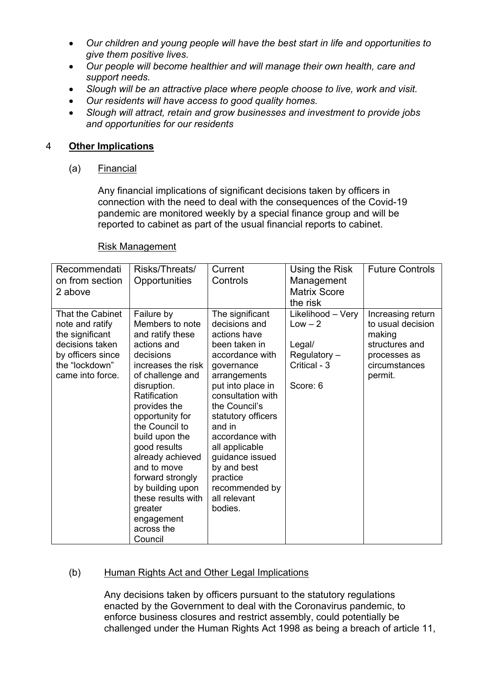- *Our children and young people will have the best start in life and opportunities to give them positive lives.*
- *Our people will become healthier and will manage their own health, care and support needs.*
- *Slough will be an attractive place where people choose to live, work and visit.*
- *Our residents will have access to good quality homes.*
- *Slough will attract, retain and grow businesses and investment to provide jobs and opportunities for our residents*

### 4 **Other Implications**

(a) Financial

Any financial implications of significant decisions taken by officers in connection with the need to deal with the consequences of the Covid-19 pandemic are monitored weekly by a special finance group and will be reported to cabinet as part of the usual financial reports to cabinet.

#### Risk Management

| Recommendati<br>on from section<br>2 above                                                                                           | Risks/Threats/<br>Opportunities                                                                                                                                                                                                                                                                                                                                                                  | Current<br>Controls                                                                                                                                                                                                                                                                                                                           | Using the Risk<br>Management<br><b>Matrix Score</b><br>the risk                      | <b>Future Controls</b>                                                                                         |
|--------------------------------------------------------------------------------------------------------------------------------------|--------------------------------------------------------------------------------------------------------------------------------------------------------------------------------------------------------------------------------------------------------------------------------------------------------------------------------------------------------------------------------------------------|-----------------------------------------------------------------------------------------------------------------------------------------------------------------------------------------------------------------------------------------------------------------------------------------------------------------------------------------------|--------------------------------------------------------------------------------------|----------------------------------------------------------------------------------------------------------------|
| That the Cabinet<br>note and ratify<br>the significant<br>decisions taken<br>by officers since<br>the "lockdown"<br>came into force. | Failure by<br>Members to note<br>and ratify these<br>actions and<br>decisions<br>increases the risk<br>of challenge and<br>disruption.<br>Ratification<br>provides the<br>opportunity for<br>the Council to<br>build upon the<br>good results<br>already achieved<br>and to move<br>forward strongly<br>by building upon<br>these results with<br>greater<br>engagement<br>across the<br>Council | The significant<br>decisions and<br>actions have<br>been taken in<br>accordance with<br>governance<br>arrangements<br>put into place in<br>consultation with<br>the Council's<br>statutory officers<br>and in<br>accordance with<br>all applicable<br>guidance issued<br>by and best<br>practice<br>recommended by<br>all relevant<br>bodies. | Likelihood - Very<br>$Low - 2$<br>Legal/<br>Regulatory -<br>Critical - 3<br>Score: 6 | Increasing return<br>to usual decision<br>making<br>structures and<br>processes as<br>circumstances<br>permit. |

### (b) Human Rights Act and Other Legal Implications

Any decisions taken by officers pursuant to the statutory regulations enacted by the Government to deal with the Coronavirus pandemic, to enforce business closures and restrict assembly, could potentially be challenged under the Human Rights Act 1998 as being a breach of article 11,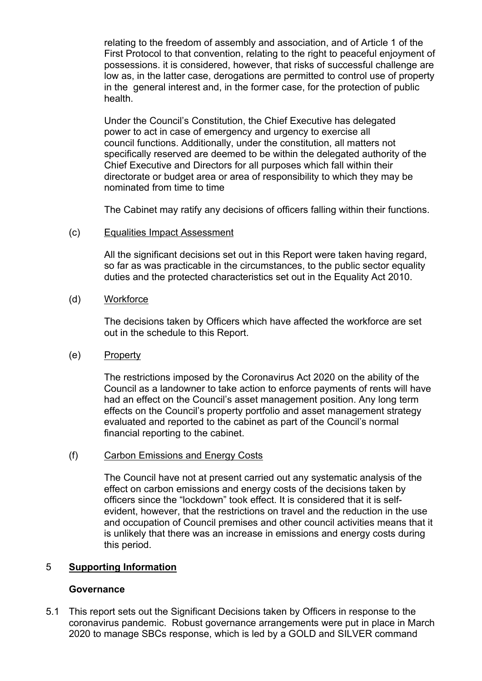relating to the freedom of assembly and association, and of Article 1 of the First Protocol to that convention, relating to the right to peaceful enjoyment of possessions. it is considered, however, that risks of successful challenge are low as, in the latter case, derogations are permitted to control use of property in the general interest and, in the former case, for the protection of public health.

Under the Council's Constitution, the Chief Executive has delegated power to act in case of emergency and urgency to exercise all council functions. Additionally, under the constitution, all matters not specifically reserved are deemed to be within the delegated authority of the Chief Executive and Directors for all purposes which fall within their directorate or budget area or area of responsibility to which they may be nominated from time to time

The Cabinet may ratify any decisions of officers falling within their functions.

(c) Equalities Impact Assessment

All the significant decisions set out in this Report were taken having regard, so far as was practicable in the circumstances, to the public sector equality duties and the protected characteristics set out in the Equality Act 2010.

(d) Workforce

The decisions taken by Officers which have affected the workforce are set out in the schedule to this Report.

(e) Property

The restrictions imposed by the Coronavirus Act 2020 on the ability of the Council as a landowner to take action to enforce payments of rents will have had an effect on the Council's asset management position. Any long term effects on the Council's property portfolio and asset management strategy evaluated and reported to the cabinet as part of the Council's normal financial reporting to the cabinet.

(f) Carbon Emissions and Energy Costs

The Council have not at present carried out any systematic analysis of the effect on carbon emissions and energy costs of the decisions taken by officers since the "lockdown" took effect. It is considered that it is selfevident, however, that the restrictions on travel and the reduction in the use and occupation of Council premises and other council activities means that it is unlikely that there was an increase in emissions and energy costs during this period.

### 5 **Supporting Information**

### **Governance**

5.1 This report sets out the Significant Decisions taken by Officers in response to the coronavirus pandemic. Robust governance arrangements were put in place in March 2020 to manage SBCs response, which is led by a GOLD and SILVER command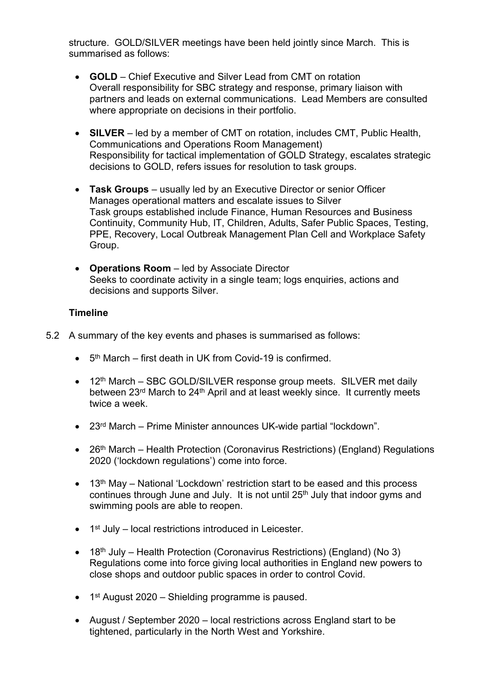structure. GOLD/SILVER meetings have been held jointly since March. This is summarised as follows:

- **GOLD** Chief Executive and Silver Lead from CMT on rotation Overall responsibility for SBC strategy and response, primary liaison with partners and leads on external communications. Lead Members are consulted where appropriate on decisions in their portfolio.
- **SILVER** led by a member of CMT on rotation, includes CMT, Public Health, Communications and Operations Room Management) Responsibility for tactical implementation of GOLD Strategy, escalates strategic decisions to GOLD, refers issues for resolution to task groups.
- **Task Groups** usually led by an Executive Director or senior Officer Manages operational matters and escalate issues to Silver Task groups established include Finance, Human Resources and Business Continuity, Community Hub, IT, Children, Adults, Safer Public Spaces, Testing, PPE, Recovery, Local Outbreak Management Plan Cell and Workplace Safety Group.
- **Operations Room** led by Associate Director Seeks to coordinate activity in a single team; logs enquiries, actions and decisions and supports Silver.

# **Timeline**

- 5.2 A summary of the key events and phases is summarised as follows:
	- 5<sup>th</sup> March first death in UK from Covid-19 is confirmed.
	- 12<sup>th</sup> March SBC GOLD/SILVER response group meets. SILVER met daily between 23rd March to 24th April and at least weekly since. It currently meets twice a week.
	- 23<sup>rd</sup> March Prime Minister announces UK-wide partial "lockdown".
	- 26<sup>th</sup> March Health Protection (Coronavirus Restrictions) (England) Regulations 2020 ('lockdown regulations') come into force.
	- 13<sup>th</sup> May National 'Lockdown' restriction start to be eased and this process continues through June and July. It is not until 25<sup>th</sup> July that indoor gyms and swimming pools are able to reopen.
	- 1<sup>st</sup> July local restrictions introduced in Leicester.
	- 18<sup>th</sup> July Health Protection (Coronavirus Restrictions) (England) (No 3) Regulations come into force giving local authorities in England new powers to close shops and outdoor public spaces in order to control Covid.
	- 1<sup>st</sup> August 2020 Shielding programme is paused.
	- August / September 2020 local restrictions across England start to be tightened, particularly in the North West and Yorkshire.